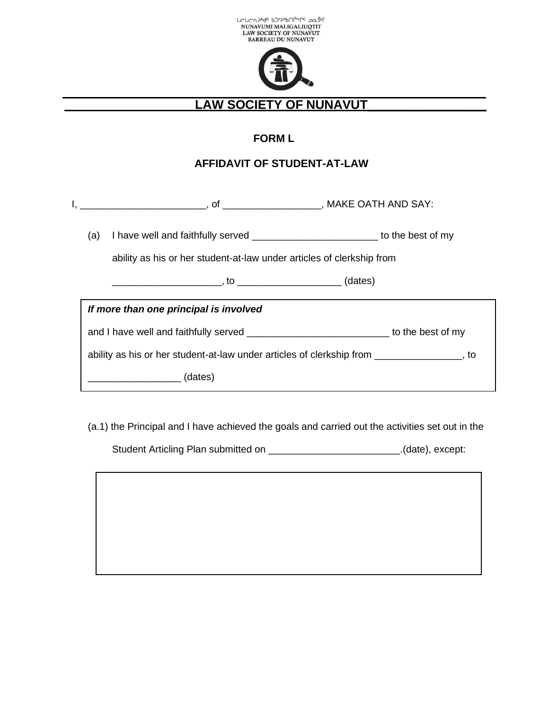



## **LAW SOCIETY OF NUNAVUT**\_\_\_\_\_\_\_\_\_\_\_\_\_\_\_\_\_

## **FORM L**

## **AFFIDAVIT OF STUDENT-AT-LAW**

| (a) | I have well and faithfully served ______________________________to the best of my         |  |  |
|-----|-------------------------------------------------------------------------------------------|--|--|
|     | ability as his or her student-at-law under articles of clerkship from                     |  |  |
|     |                                                                                           |  |  |
|     | If more than one principal is involved                                                    |  |  |
|     | and I have well and faithfully served _________________________________to the best of my  |  |  |
|     | ability as his or her student-at-law under articles of clerkship from _______________, to |  |  |
|     | (dates) (1)                                                                               |  |  |

(a.1) the Principal and I have achieved the goals and carried out the activities set out in the

Student Articling Plan submitted on \_\_\_\_\_\_\_\_\_\_\_\_\_\_\_\_\_\_\_\_\_\_\_\_\_\_\_\_\_\_.(date), except: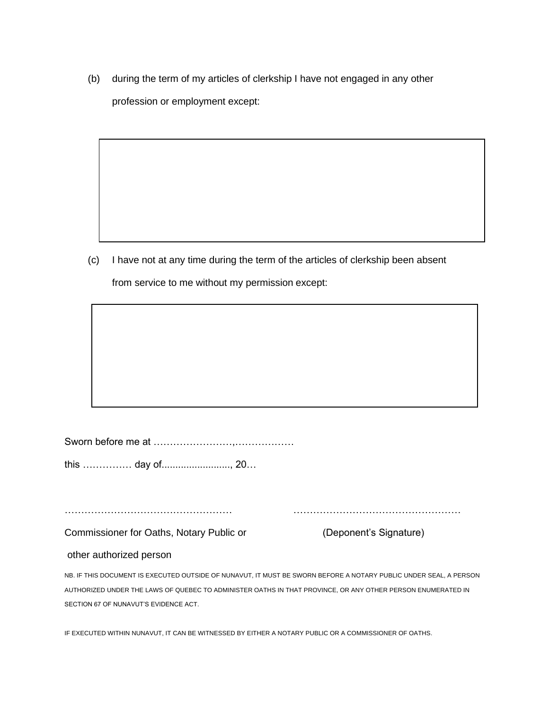(b) during the term of my articles of clerkship I have not engaged in any other profession or employment except:

(c) I have not at any time during the term of the articles of clerkship been absent

from service to me without my permission except:

Sworn before me at ……………………,………………

this …………… day of........................., 20…

…………………………………………… ……………………………………………

Commissioner for Oaths, Notary Public or (Deponent's Signature)

## other authorized person

NB. IF THIS DOCUMENT IS EXECUTED OUTSIDE OF NUNAVUT, IT MUST BE SWORN BEFORE A NOTARY PUBLIC UNDER SEAL, A PERSON AUTHORIZED UNDER THE LAWS OF QUEBEC TO ADMINISTER OATHS IN THAT PROVINCE, OR ANY OTHER PERSON ENUMERATED IN SECTION 67 OF NUNAVUT'S EVIDENCE ACT.

IF EXECUTED WITHIN NUNAVUT, IT CAN BE WITNESSED BY EITHER A NOTARY PUBLIC OR A COMMISSIONER OF OATHS.